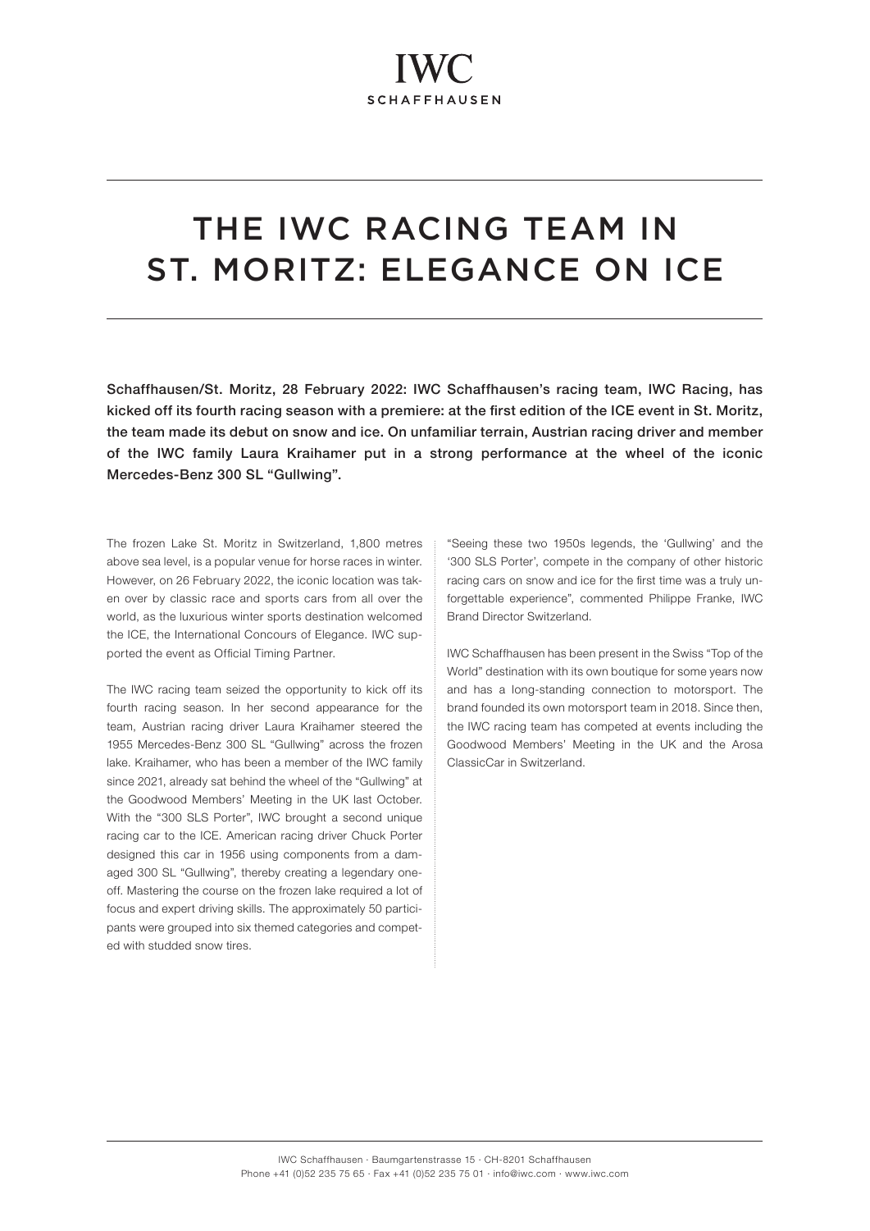# THE IWC RACING TEAM IN ST. MORITZ: ELEGANCE ON ICE

Schaffhausen/St. Moritz, 28 February 2022: IWC Schaffhausen's racing team, IWC Racing, has kicked off its fourth racing season with a premiere: at the first edition of the ICE event in St. Moritz, the team made its debut on snow and ice. On unfamiliar terrain, Austrian racing driver and member of the IWC family Laura Kraihamer put in a strong performance at the wheel of the iconic Mercedes-Benz 300 SL "Gullwing".

The frozen Lake St. Moritz in Switzerland, 1,800 metres above sea level, is a popular venue for horse races in winter. However, on 26 February 2022, the iconic location was taken over by classic race and sports cars from all over the world, as the luxurious winter sports destination welcomed the ICE, the International Concours of Elegance. IWC supported the event as Official Timing Partner.

The IWC racing team seized the opportunity to kick off its fourth racing season. In her second appearance for the team, Austrian racing driver Laura Kraihamer steered the 1955 Mercedes-Benz 300 SL "Gullwing" across the frozen lake. Kraihamer, who has been a member of the IWC family since 2021, already sat behind the wheel of the "Gullwing" at the Goodwood Members' Meeting in the UK last October. With the "300 SLS Porter", IWC brought a second unique racing car to the ICE. American racing driver Chuck Porter designed this car in 1956 using components from a damaged 300 SL "Gullwing", thereby creating a legendary oneoff. Mastering the course on the frozen lake required a lot of focus and expert driving skills. The approximately 50 participants were grouped into six themed categories and competed with studded snow tires.

"Seeing these two 1950s legends, the 'Gullwing' and the '300 SLS Porter', compete in the company of other historic racing cars on snow and ice for the first time was a truly unforgettable experience", commented Philippe Franke, IWC Brand Director Switzerland.

IWC Schaffhausen has been present in the Swiss "Top of the World" destination with its own boutique for some years now and has a long-standing connection to motorsport. The brand founded its own motorsport team in 2018. Since then, the IWC racing team has competed at events including the Goodwood Members' Meeting in the UK and the Arosa ClassicCar in Switzerland.